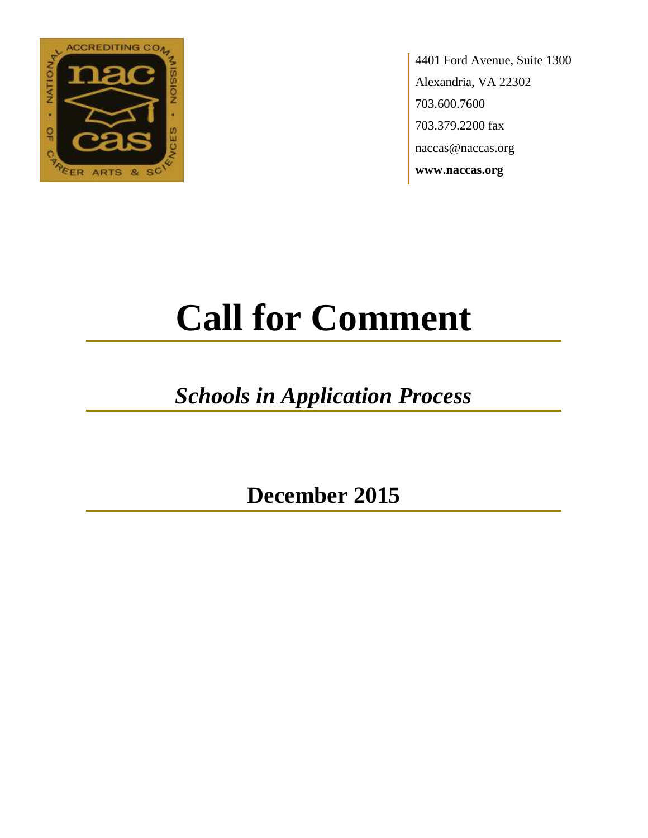

4401 Ford Avenue, Suite 1300 Alexandria, VA 22302 703.600.7600 703.379.2200 fax naccas@naccas.org **www.naccas.org**

# **Call for Comment**

## *Schools in Application Process*

**December 2015**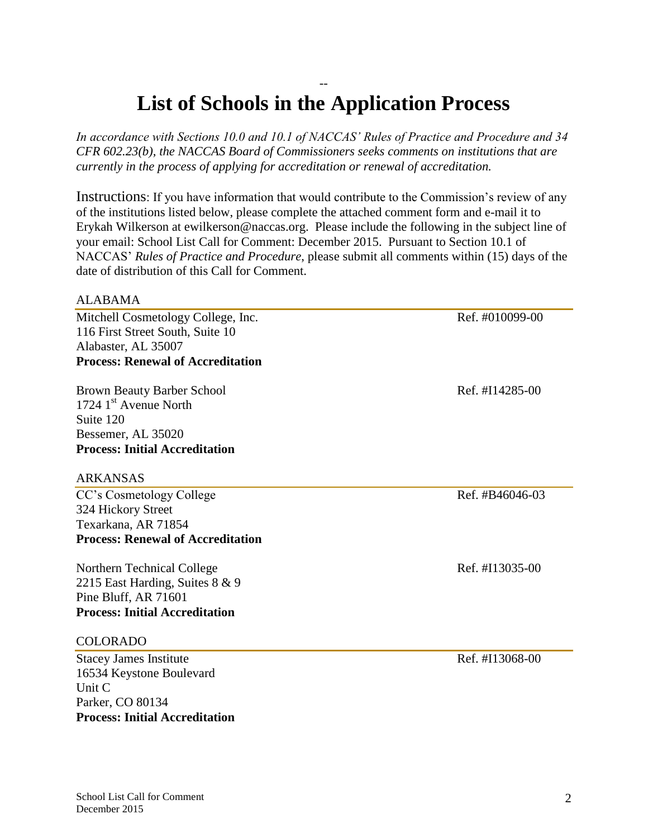#### -- **List of Schools in the Application Process**

*In accordance with Sections 10.0 and 10.1 of NACCAS' Rules of Practice and Procedure and 34 CFR 602.23(b), the NACCAS Board of Commissioners seeks comments on institutions that are currently in the process of applying for accreditation or renewal of accreditation.*

Instructions: If you have information that would contribute to the Commission's review of any of the institutions listed below, please complete the attached comment form and e-mail it to Erykah Wilkerson at ewilkerson@naccas.org. Please include the following in the subject line of your email: School List Call for Comment: December 2015. Pursuant to Section 10.1 of NACCAS' *Rules of Practice and Procedure*, please submit all comments within (15) days of the date of distribution of this Call for Comment.

#### ALABAMA

Mitchell Cosmetology College, Inc. Ref. #010099-00 116 First Street South, Suite 10 Alabaster, AL 35007 **Process: Renewal of Accreditation**

Brown Beauty Barber School Ref. #I14285-00 1724 1<sup>st</sup> Avenue North Suite 120 Bessemer, AL 35020 **Process: Initial Accreditation**

#### ARKANSAS

CC's Cosmetology College Ref. #B46046-03 324 Hickory Street Texarkana, AR 71854 **Process: Renewal of Accreditation**

Northern Technical College Ref. #I13035-00 2215 East Harding, Suites 8 & 9 Pine Bluff, AR 71601 **Process: Initial Accreditation**

#### COLORADO

Stacey James Institute Ref. #I13068-00 16534 Keystone Boulevard Unit C Parker, CO 80134 **Process: Initial Accreditation**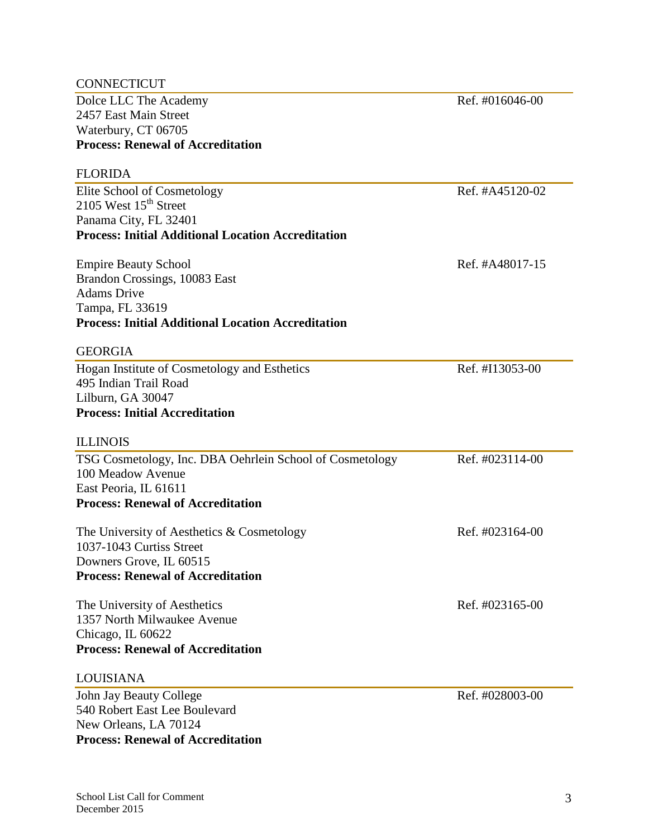| <b>CONNECTICUT</b>                                        |                 |
|-----------------------------------------------------------|-----------------|
| Dolce LLC The Academy                                     | Ref. #016046-00 |
| 2457 East Main Street                                     |                 |
| Waterbury, CT 06705                                       |                 |
| <b>Process: Renewal of Accreditation</b>                  |                 |
| <b>FLORIDA</b>                                            |                 |
| Elite School of Cosmetology                               | Ref. #A45120-02 |
| 2105 West $15th$ Street                                   |                 |
| Panama City, FL 32401                                     |                 |
| <b>Process: Initial Additional Location Accreditation</b> |                 |
| <b>Empire Beauty School</b>                               | Ref. #A48017-15 |
| Brandon Crossings, 10083 East                             |                 |
| <b>Adams Drive</b>                                        |                 |
| Tampa, FL 33619                                           |                 |
| <b>Process: Initial Additional Location Accreditation</b> |                 |
| <b>GEORGIA</b>                                            |                 |
| Hogan Institute of Cosmetology and Esthetics              | Ref. #I13053-00 |
| 495 Indian Trail Road                                     |                 |
| Lilburn, GA 30047                                         |                 |
| <b>Process: Initial Accreditation</b>                     |                 |
| <b>ILLINOIS</b>                                           |                 |
| TSG Cosmetology, Inc. DBA Oehrlein School of Cosmetology  | Ref. #023114-00 |
| 100 Meadow Avenue                                         |                 |
| East Peoria, IL 61611                                     |                 |
| <b>Process: Renewal of Accreditation</b>                  |                 |
| The University of Aesthetics $&$ Cosmetology              | Ref. #023164-00 |
| 1037-1043 Curtiss Street                                  |                 |
| Downers Grove, IL 60515                                   |                 |
| <b>Process: Renewal of Accreditation</b>                  |                 |
| The University of Aesthetics                              | Ref. #023165-00 |
| 1357 North Milwaukee Avenue                               |                 |
| Chicago, IL 60622                                         |                 |
| <b>Process: Renewal of Accreditation</b>                  |                 |
| <b>LOUISIANA</b>                                          |                 |
| John Jay Beauty College                                   | Ref. #028003-00 |
| 540 Robert East Lee Boulevard                             |                 |
| New Orleans, LA 70124                                     |                 |
| <b>Process: Renewal of Accreditation</b>                  |                 |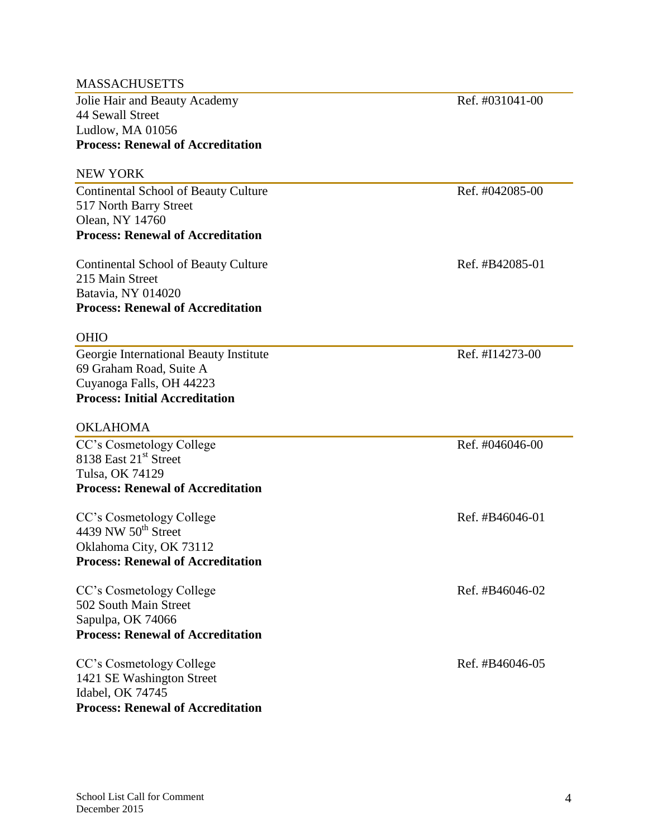| <b>MASSACHUSETTS</b>                        |                 |
|---------------------------------------------|-----------------|
| Jolie Hair and Beauty Academy               | Ref. #031041-00 |
| 44 Sewall Street                            |                 |
| Ludlow, MA 01056                            |                 |
| <b>Process: Renewal of Accreditation</b>    |                 |
| <b>NEW YORK</b>                             |                 |
| Continental School of Beauty Culture        | Ref. #042085-00 |
| 517 North Barry Street                      |                 |
| Olean, NY 14760                             |                 |
| <b>Process: Renewal of Accreditation</b>    |                 |
| <b>Continental School of Beauty Culture</b> | Ref. #B42085-01 |
| 215 Main Street                             |                 |
| Batavia, NY 014020                          |                 |
| <b>Process: Renewal of Accreditation</b>    |                 |
| <b>OHIO</b>                                 |                 |
| Georgie International Beauty Institute      | Ref. #I14273-00 |
| 69 Graham Road, Suite A                     |                 |
| Cuyanoga Falls, OH 44223                    |                 |
| <b>Process: Initial Accreditation</b>       |                 |
| <b>OKLAHOMA</b>                             |                 |
| CC's Cosmetology College                    | Ref. #046046-00 |
| 8138 East 21 <sup>st</sup> Street           |                 |
| Tulsa, OK 74129                             |                 |
| <b>Process: Renewal of Accreditation</b>    |                 |
| CC's Cosmetology College                    | Ref. #B46046-01 |
| 4439 NW $50^{\text{th}}$ Street             |                 |
| Oklahoma City, OK 73112                     |                 |
| <b>Process: Renewal of Accreditation</b>    |                 |
| CC's Cosmetology College                    | Ref. #B46046-02 |
| 502 South Main Street                       |                 |
| Sapulpa, OK 74066                           |                 |
| <b>Process: Renewal of Accreditation</b>    |                 |
| CC's Cosmetology College                    | Ref. #B46046-05 |
| 1421 SE Washington Street                   |                 |
| Idabel, OK 74745                            |                 |
| <b>Process: Renewal of Accreditation</b>    |                 |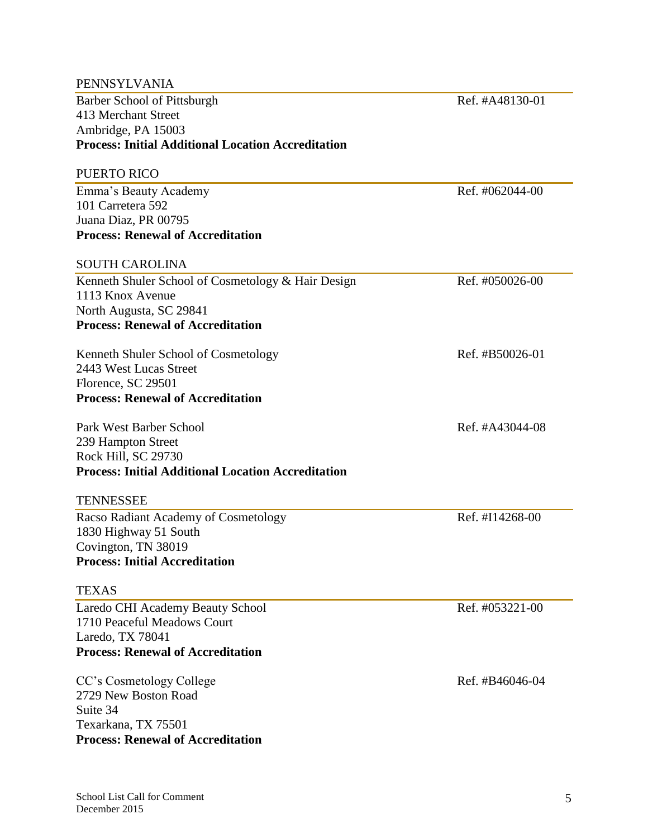| <b>PENNSYLVANIA</b>                                       |                 |
|-----------------------------------------------------------|-----------------|
| <b>Barber School of Pittsburgh</b>                        | Ref. #A48130-01 |
| 413 Merchant Street                                       |                 |
| Ambridge, PA 15003                                        |                 |
| <b>Process: Initial Additional Location Accreditation</b> |                 |
| <b>PUERTO RICO</b>                                        |                 |
| Emma's Beauty Academy                                     | Ref. #062044-00 |
| 101 Carretera 592                                         |                 |
| Juana Diaz, PR 00795                                      |                 |
| <b>Process: Renewal of Accreditation</b>                  |                 |
| <b>SOUTH CAROLINA</b>                                     |                 |
| Kenneth Shuler School of Cosmetology & Hair Design        | Ref. #050026-00 |
| 1113 Knox Avenue                                          |                 |
| North Augusta, SC 29841                                   |                 |
| <b>Process: Renewal of Accreditation</b>                  |                 |
| Kenneth Shuler School of Cosmetology                      | Ref. #B50026-01 |
| 2443 West Lucas Street                                    |                 |
| Florence, SC 29501                                        |                 |
| <b>Process: Renewal of Accreditation</b>                  |                 |
| Park West Barber School                                   | Ref. #A43044-08 |
| 239 Hampton Street                                        |                 |
| Rock Hill, SC 29730                                       |                 |
| <b>Process: Initial Additional Location Accreditation</b> |                 |
| <b>TENNESSEE</b>                                          |                 |
| Racso Radiant Academy of Cosmetology                      | Ref. #I14268-00 |
| 1830 Highway 51 South                                     |                 |
| Covington, TN 38019                                       |                 |
| <b>Process: Initial Accreditation</b>                     |                 |
| <b>TEXAS</b>                                              |                 |
| Laredo CHI Academy Beauty School                          | Ref. #053221-00 |
| 1710 Peaceful Meadows Court                               |                 |
| Laredo, TX 78041                                          |                 |
| <b>Process: Renewal of Accreditation</b>                  |                 |
| CC's Cosmetology College                                  | Ref. #B46046-04 |
| 2729 New Boston Road                                      |                 |
| Suite 34                                                  |                 |
| Texarkana, TX 75501                                       |                 |
| <b>Process: Renewal of Accreditation</b>                  |                 |
|                                                           |                 |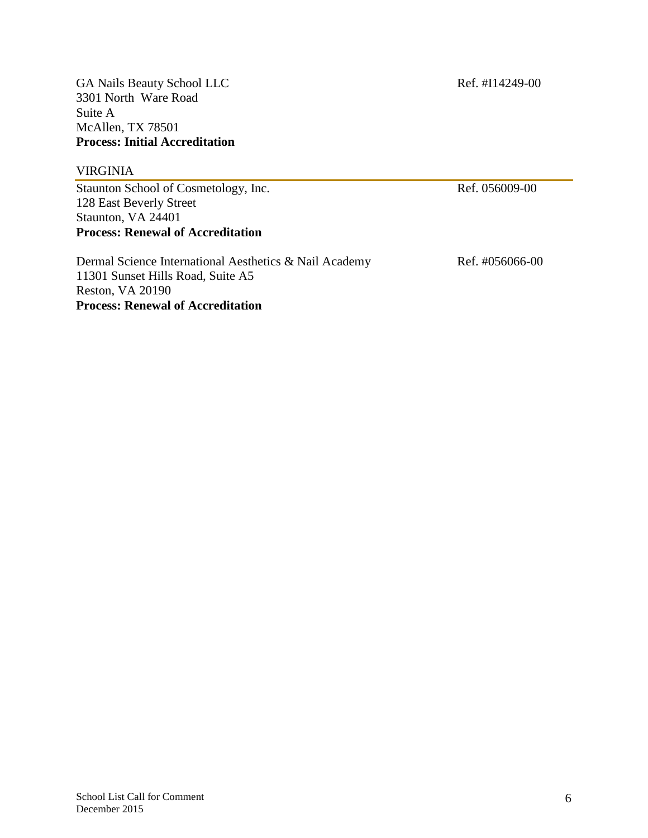GA Nails Beauty School LLC Ref. #I14249-00 3301 North Ware Road Suite A McAllen, TX 78501 **Process: Initial Accreditation**

#### VIRGINIA

Staunton School of Cosmetology, Inc. Ref. 056009-00 128 East Beverly Street Staunton, VA 24401 **Process: Renewal of Accreditation**

| Dermal Science International Aesthetics & Nail Academy | Ref. #056066-00 |
|--------------------------------------------------------|-----------------|
| 11301 Sunset Hills Road, Suite A5                      |                 |
| Reston, VA 20190                                       |                 |
| <b>Process: Renewal of Accreditation</b>               |                 |
|                                                        |                 |